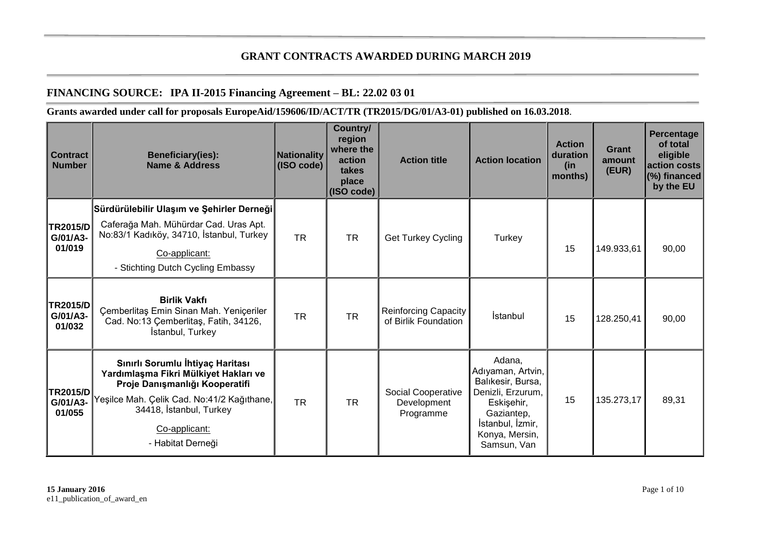## **GRANT CONTRACTS AWARDED DURING MARCH 2019**

## **FINANCING SOURCE: IPA II-2015 Financing Agreement – BL: 22.02 03 01**

## **Grants awarded under call for proposals EuropeAid/159606/ID/ACT/TR (TR2015/DG/01/A3-01) published on 16.03.2018**.

| <b>Contract</b><br><b>Number</b>      | <b>Beneficiary(ies):</b><br><b>Name &amp; Address</b>                                                                                                                                                                       | <b>Nationality</b><br>(ISO code) | Country/<br>region<br>where the<br>action<br>takes<br>place<br>(ISO code) | <b>Action title</b>                                   | <b>Action location</b>                                                                                                                                 | <b>Action</b><br>duration<br>(in<br>months) | <b>Grant</b><br>amount<br>(EUR) | <b>Percentage</b><br>of total<br>eligible<br>laction costs<br>(%) financed<br>by the EU |
|---------------------------------------|-----------------------------------------------------------------------------------------------------------------------------------------------------------------------------------------------------------------------------|----------------------------------|---------------------------------------------------------------------------|-------------------------------------------------------|--------------------------------------------------------------------------------------------------------------------------------------------------------|---------------------------------------------|---------------------------------|-----------------------------------------------------------------------------------------|
| <b>TR2015/D</b><br>G/01/A3-<br>01/019 | Sürdürülebilir Ulaşım ve Şehirler Derneği<br>Caferağa Mah. Mühürdar Cad. Uras Apt.<br>No:83/1 Kadıköy, 34710, İstanbul, Turkey<br>Co-applicant:<br>- Stichting Dutch Cycling Embassy                                        | <b>TR</b>                        | <b>TR</b>                                                                 | Get Turkey Cycling                                    | Turkey                                                                                                                                                 | 15                                          | 149.933,61                      | 90,00                                                                                   |
| <b>TR2015/D</b><br>G/01/A3-<br>01/032 | <b>Birlik Vakfı</b><br>Çemberlitaş Emin Sinan Mah. Yeniçeriler<br>Cad. No:13 Çemberlitaş, Fatih, 34126,<br>İstanbul, Turkey                                                                                                 | <b>TR</b>                        | <b>TR</b>                                                                 | Reinforcing Capacity<br>of Birlik Foundation          | İstanbul                                                                                                                                               | 15                                          | 128.250,41                      | 90,00                                                                                   |
| <b>TR2015/D</b><br>G/01/A3-<br>01/055 | Sınırlı Sorumlu İhtiyaç Haritası<br>Yardımlaşma Fikri Mülkiyet Hakları ve<br>Proje Danışmanlığı Kooperatifi<br>Yeşilce Mah. Çelik Cad. No:41/2 Kağıthane,İ<br>34418, İstanbul, Turkey<br>Co-applicant:<br>- Habitat Derneği | <b>TR</b>                        | <b>TR</b>                                                                 | <b>Social Cooperative</b><br>Development<br>Programme | Adana,<br>Adıyaman, Artvin,<br>Balıkesir, Bursa,<br>Denizli, Erzurum,<br>Eskişehir,<br>Gaziantep,<br>İstanbul, İzmir,<br>Konya, Mersin,<br>Samsun, Van | 15                                          | 135.273,17                      | 89,31                                                                                   |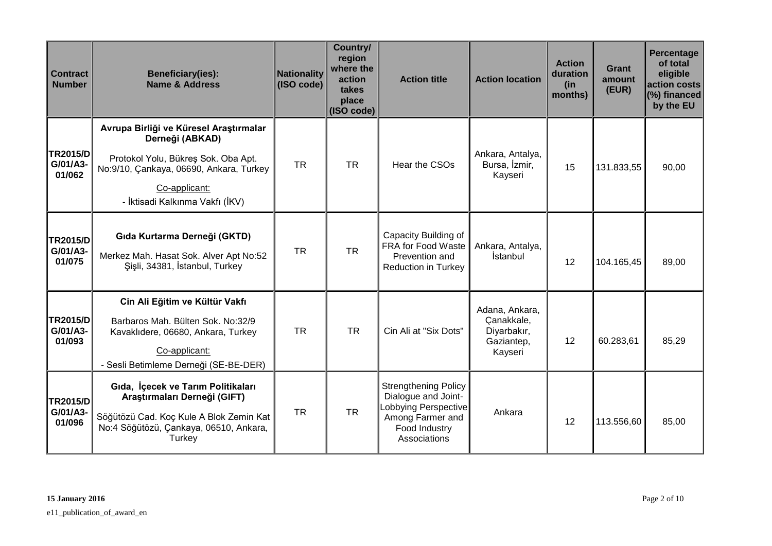| <b>Contract</b><br><b>Number</b>      | Beneficiary(ies):<br><b>Name &amp; Address</b>                                                                                                                                                  | Nationality<br>(ISO code) | Country/<br>region<br>where the<br>action<br>takes<br>place<br>(ISO code) | <b>Action title</b>                                                                                                             | <b>Action location</b>                                               | <b>Action</b><br>duration<br>(in<br>months) | <b>Grant</b><br>amount<br>(EUR) | Percentage<br>of total<br>eligible<br>action costs<br>(%) financed<br>by the EU |
|---------------------------------------|-------------------------------------------------------------------------------------------------------------------------------------------------------------------------------------------------|---------------------------|---------------------------------------------------------------------------|---------------------------------------------------------------------------------------------------------------------------------|----------------------------------------------------------------------|---------------------------------------------|---------------------------------|---------------------------------------------------------------------------------|
| <b>TR2015/D</b><br>G/01/A3-<br>01/062 | Avrupa Birliği ve Küresel Araştırmalar<br>Derneği (ABKAD)<br>Protokol Yolu, Bükreş Sok. Oba Apt.<br>No:9/10, Çankaya, 06690, Ankara, Turkey<br>Co-applicant:<br>- İktisadi Kalkınma Vakfı (İKV) | <b>TR</b>                 | <b>TR</b>                                                                 | Hear the CSOs                                                                                                                   | Ankara, Antalya,<br>Bursa, İzmir,<br>Kayseri                         | 15                                          | 131.833,55                      | 90,00                                                                           |
| <b>TR2015/D</b><br>G/01/A3-<br>01/075 | Gıda Kurtarma Derneği (GKTD)<br>Merkez Mah. Hasat Sok. Alver Apt No:52<br>Şişli, 34381, İstanbul, Turkey                                                                                        | <b>TR</b>                 | <b>TR</b>                                                                 | Capacity Building of<br><b>FRA for Food Waste</b><br>Prevention and<br><b>Reduction in Turkey</b>                               | Ankara, Antalya,<br>İstanbul                                         | 12                                          | 104.165,45                      | 89,00                                                                           |
| <b>TR2015/D</b><br>G/01/A3-<br>01/093 | Cin Ali Eğitim ve Kültür Vakfı<br>Barbaros Mah. Bülten Sok. No:32/9<br>Kavaklıdere, 06680, Ankara, Turkey<br>Co-applicant:<br>- Sesli Betimleme Derneği (SE-BE-DER)                             | <b>TR</b>                 | <b>TR</b>                                                                 | Cin Ali at "Six Dots"                                                                                                           | Adana, Ankara,<br>Çanakkale,<br>Diyarbakır,<br>Gaziantep,<br>Kayseri | 12                                          | 60.283,61                       | 85,29                                                                           |
| <b>TR2015/D</b><br>G/01/A3-<br>01/096 | Gida, İçecek ve Tarım Politikaları<br>Araştırmaları Derneği (GIFT)<br>Söğütözü Cad. Koç Kule A Blok Zemin Kat<br>No:4 Söğütözü, Çankaya, 06510, Ankara,<br>Turkey                               | <b>TR</b>                 | <b>TR</b>                                                                 | <b>Strengthening Policy</b><br>Dialogue and Joint-<br>Lobbying Perspective<br>Among Farmer and<br>Food Industry<br>Associations | Ankara                                                               | 12                                          | 113.556,60                      | 85,00                                                                           |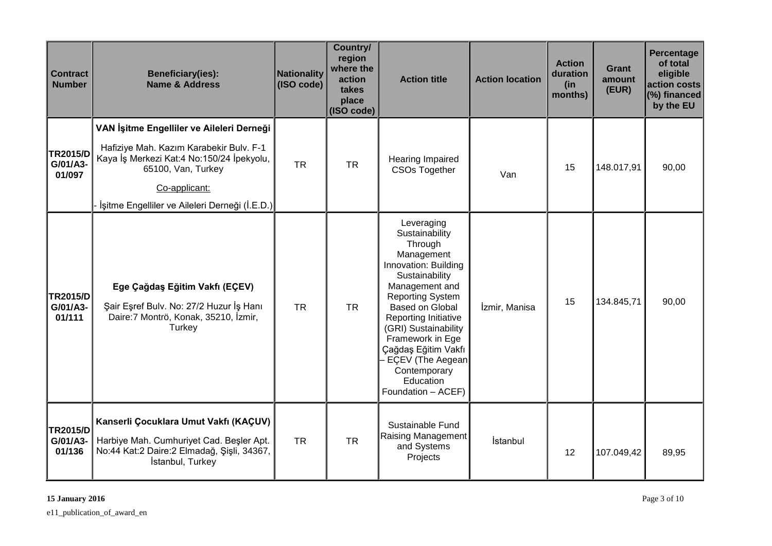| <b>Contract</b><br><b>Number</b>      | <b>Beneficiary(ies):</b><br><b>Name &amp; Address</b>                                                                                                                                                                      | Nationality<br>(ISO code) | Country/<br>region<br>where the<br>action<br>takes<br>place<br>(ISO code) | <b>Action title</b>                                                                                                                                                                                                                                                                                                               | <b>Action location</b> | <b>Action</b><br>duration<br>(in<br>months) | Grant<br>amount<br>(EUR) | Percentage<br>of total<br>eligible<br>action costs<br>$(%)$ financed<br>by the EU |
|---------------------------------------|----------------------------------------------------------------------------------------------------------------------------------------------------------------------------------------------------------------------------|---------------------------|---------------------------------------------------------------------------|-----------------------------------------------------------------------------------------------------------------------------------------------------------------------------------------------------------------------------------------------------------------------------------------------------------------------------------|------------------------|---------------------------------------------|--------------------------|-----------------------------------------------------------------------------------|
| <b>TR2015/D</b><br>G/01/A3-<br>01/097 | VAN İşitme Engelliler ve Aileleri Derneği<br>Hafiziye Mah. Kazım Karabekir Bulv. F-1<br>Kaya İş Merkezi Kat:4 No:150/24 İpekyolu,<br>65100, Van, Turkey<br>Co-applicant:<br>İşitme Engelliler ve Aileleri Derneği (İ.E.D.) | <b>TR</b>                 | <b>TR</b>                                                                 | <b>Hearing Impaired</b><br><b>CSOs Together</b>                                                                                                                                                                                                                                                                                   | Van                    | 15                                          | 148.017,91               | 90,00                                                                             |
| <b>TR2015/D</b><br>G/01/A3-<br>01/111 | Ege Çağdaş Eğitim Vakfı (EÇEV)<br>Şair Eşref Bulv. No: 27/2 Huzur İş Hanı<br>Daire: 7 Montrö, Konak, 35210, İzmir,<br>Turkey                                                                                               | <b>TR</b>                 | <b>TR</b>                                                                 | Leveraging<br>Sustainability<br>Through<br>Management<br>Innovation: Building<br>Sustainability<br>Management and<br><b>Reporting System</b><br>Based on Global<br>Reporting Initiative<br>(GRI) Sustainability<br>Framework in Ege<br>Çağdaş Eğitim Vakfı<br>EÇEV (The Aegean<br>Contemporary<br>Education<br>Foundation - ACEF) | İzmir, Manisa          | 15                                          | 134.845,71               | 90,00                                                                             |
| <b>TR2015/D</b><br>G/01/A3-<br>01/136 | Kanserli Çocuklara Umut Vakfı (KAÇUV)<br>Harbiye Mah. Cumhuriyet Cad. Beşler Apt.<br>No:44 Kat:2 Daire:2 Elmadağ, Şişli, 34367,<br>İstanbul, Turkey                                                                        | <b>TR</b>                 | <b>TR</b>                                                                 | Sustainable Fund<br>Raising Management<br>and Systems<br>Projects                                                                                                                                                                                                                                                                 | İstanbul               | 12                                          | 107.049,42               | 89,95                                                                             |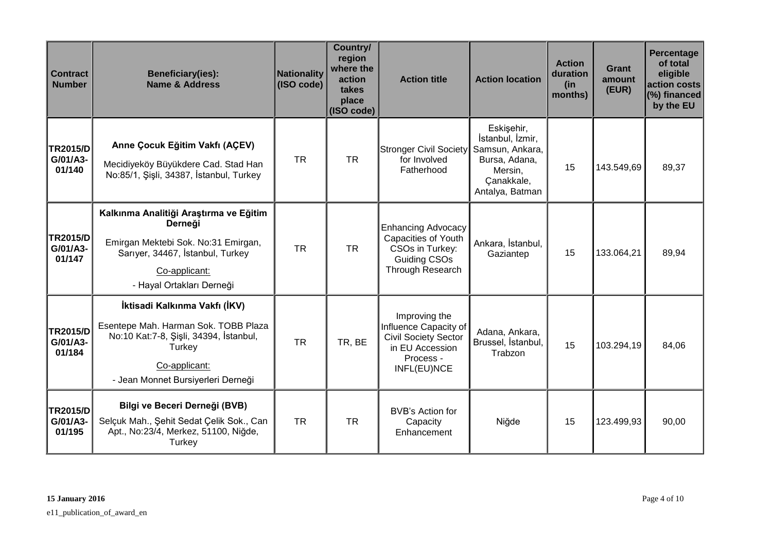| <b>Contract</b><br><b>Number</b>      | <b>Beneficiary(ies):</b><br><b>Name &amp; Address</b>                                                                                                                            | Nationality<br>(ISO code) | Country/<br>region<br>where the<br>action<br>takes<br>place<br>(ISO code) | <b>Action title</b>                                                                                                  | <b>Action location</b>                                                                                         | <b>Action</b><br>duration<br>(in<br>months) | <b>Grant</b><br>amount<br>(EUR) | <b>Percentage</b><br>of total<br>eligible<br>action costs<br>(%) financed<br>by the EU |
|---------------------------------------|----------------------------------------------------------------------------------------------------------------------------------------------------------------------------------|---------------------------|---------------------------------------------------------------------------|----------------------------------------------------------------------------------------------------------------------|----------------------------------------------------------------------------------------------------------------|---------------------------------------------|---------------------------------|----------------------------------------------------------------------------------------|
| <b>TR2015/D</b><br>G/01/A3-<br>01/140 | Anne Çocuk Eğitim Vakfı (AÇEV)<br>Mecidiyeköy Büyükdere Cad. Stad Han<br>No:85/1, Şişli, 34387, İstanbul, Turkey                                                                 | <b>TR</b>                 | <b>TR</b>                                                                 | Stronger Civil Society<br>for Involved<br>Fatherhood                                                                 | Eskişehir,<br>İstanbul, İzmir,<br>Samsun, Ankara,<br>Bursa, Adana,<br>Mersin,<br>Çanakkale,<br>Antalya, Batman | 15                                          | 143.549,69                      | 89,37                                                                                  |
| <b>TR2015/D</b><br>G/01/A3-<br>01/147 | Kalkınma Analitiği Araştırma ve Eğitim<br>Derneği<br>Emirgan Mektebi Sok. No:31 Emirgan,<br>Sarıyer, 34467, İstanbul, Turkey<br>Co-applicant:<br>- Hayal Ortakları Derneği       | <b>TR</b>                 | <b>TR</b>                                                                 | <b>Enhancing Advocacy</b><br>Capacities of Youth<br>CSOs in Turkey:<br>Guiding CSOs<br>Through Research              | Ankara, İstanbul,<br>Gaziantep                                                                                 | 15                                          | 133.064,21                      | 89,94                                                                                  |
| <b>TR2015/D</b><br>G/01/A3-<br>01/184 | İktisadi Kalkınma Vakfı (İKV)<br>Esentepe Mah. Harman Sok. TOBB Plaza<br>No:10 Kat:7-8, Şişli, 34394, İstanbul,<br>Turkey<br>Co-applicant:<br>- Jean Monnet Bursiyerleri Derneği | <b>TR</b>                 | TR, BE                                                                    | Improving the<br>Influence Capacity of<br><b>Civil Society Sector</b><br>in EU Accession<br>Process -<br>INFL(EU)NCE | Adana, Ankara,<br>Brussel, İstanbul,<br>Trabzon                                                                | 15                                          | 103.294,19                      | 84,06                                                                                  |
| <b>TR2015/D</b><br>G/01/A3-<br>01/195 | Bilgi ve Beceri Derneği (BVB)<br>Selçuk Mah., Şehit Sedat Çelik Sok., Can<br>Apt., No:23/4, Merkez, 51100, Niğde,<br>Turkey                                                      | <b>TR</b>                 | <b>TR</b>                                                                 | BVB's Action for<br>Capacity<br>Enhancement                                                                          | Niğde                                                                                                          | 15                                          | 123.499,93                      | 90,00                                                                                  |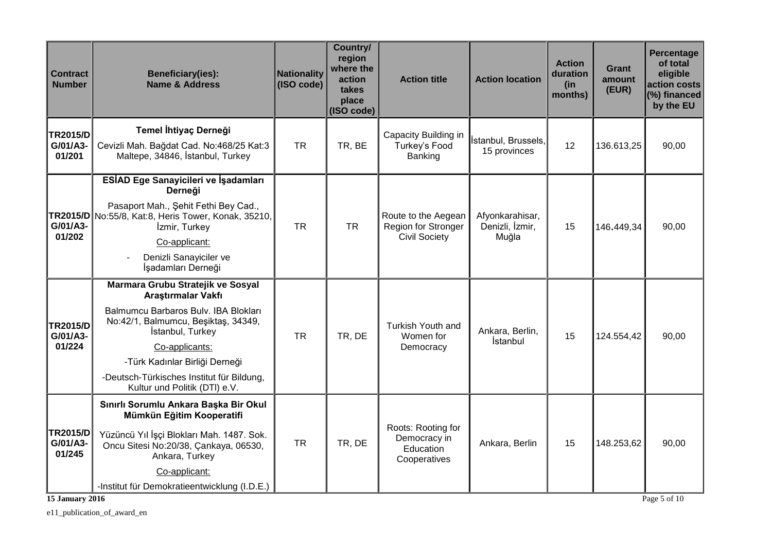| <b>Contract</b><br><b>Number</b>      | <b>Beneficiary(ies):</b><br><b>Name &amp; Address</b>                                                                                                                                                                                                                                        | Nationality<br>(ISO code) | Country/<br>region<br>where the<br>action<br>takes<br>place<br>(ISO code) | <b>Action title</b>                                                | <b>Action location</b>                      | <b>Action</b><br>duration<br>(in<br>months) | Grant<br>amount<br>(EUR) | <b>Percentage</b><br>of total<br>eligible<br>action costs<br>(%) financed<br>by the EU |
|---------------------------------------|----------------------------------------------------------------------------------------------------------------------------------------------------------------------------------------------------------------------------------------------------------------------------------------------|---------------------------|---------------------------------------------------------------------------|--------------------------------------------------------------------|---------------------------------------------|---------------------------------------------|--------------------------|----------------------------------------------------------------------------------------|
| <b>TR2015/D</b><br>G/01/A3-<br>01/201 | Temel İhtiyaç Derneği<br>Cevizli Mah. Bağdat Cad. No:468/25 Kat:3<br>Maltepe, 34846, İstanbul, Turkey                                                                                                                                                                                        | <b>TR</b>                 | TR, BE                                                                    | Capacity Building in<br>Turkey's Food<br>Banking                   | İstanbul, Brussels,<br>15 provinces         | 12                                          | 136.613,25               | 90,00                                                                                  |
| G/01/A3-<br>01/202                    | ESİAD Ege Sanayicileri ve İşadamları<br>Derneği<br>Pasaport Mah., Şehit Fethi Bey Cad.,<br>TR2015/D No:55/8, Kat:8, Heris Tower, Konak, 35210,<br>İzmir, Turkey<br>Co-applicant:<br>Denizli Sanayiciler ve<br>İşadamları Derneği                                                             | <b>TR</b>                 | <b>TR</b>                                                                 | Route to the Aegean<br>Region for Stronger<br><b>Civil Society</b> | Afyonkarahisar,<br>Denizli, İzmir,<br>Muğla | 15                                          | 146.449,34               | 90,00                                                                                  |
| <b>TR2015/D</b><br>G/01/A3-<br>01/224 | Marmara Grubu Stratejik ve Sosyal<br>Araştırmalar Vakfı<br>Balmumcu Barbaros Bulv. IBA Blokları<br>No:42/1, Balmumcu, Beşiktaş, 34349,<br>İstanbul, Turkey<br>Co-applicants:<br>-Türk Kadınlar Birliği Derneği<br>-Deutsch-Türkisches Institut für Bildung,<br>Kultur und Politik (DTI) e.V. | <b>TR</b>                 | TR, DE                                                                    | Turkish Youth and<br>Women for<br>Democracy                        | Ankara, Berlin,<br>İstanbul                 | 15                                          | 124.554,42               | 90,00                                                                                  |
| <b>TR2015/D</b><br>G/01/A3-<br>01/245 | Sınırlı Sorumlu Ankara Başka Bir Okul<br>Mümkün Eğitim Kooperatifi<br>Yüzüncü Yıl İşçi Blokları Mah. 1487. Sok.<br>Oncu Sitesi No:20/38, Çankaya, 06530,<br>Ankara, Turkey<br>Co-applicant:<br>-Institut für Demokratieentwicklung (I.D.E.)                                                  | <b>TR</b>                 | TR, DE                                                                    | Roots: Rooting for<br>Democracy in<br>Education<br>Cooperatives    | Ankara, Berlin                              | 15                                          | 148.253,62               | 90,00                                                                                  |

**15 January 2016** Page 5 of 10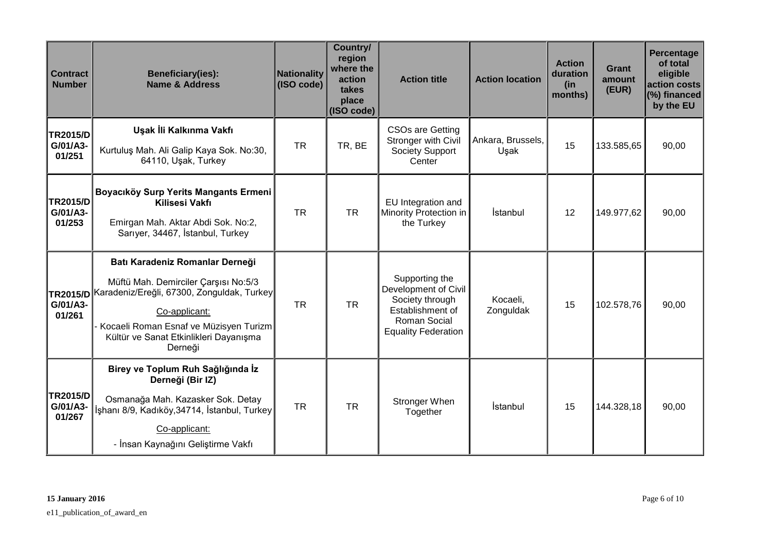| <b>Contract</b><br><b>Number</b>      | <b>Beneficiary(ies):</b><br><b>Name &amp; Address</b>                                                                                                                                                                                          | Nationality<br>(ISO code) | Country/<br>region<br>where the<br>action<br>takes<br>place<br>(ISO code) | <b>Action title</b>                                                                                                         | <b>Action location</b>    | <b>Action</b><br>duration<br>(in<br>months) | <b>Grant</b><br>amount<br>(EUR) | Percentage<br>of total<br>eligible<br>action costs<br>(%) financed<br>by the EU |
|---------------------------------------|------------------------------------------------------------------------------------------------------------------------------------------------------------------------------------------------------------------------------------------------|---------------------------|---------------------------------------------------------------------------|-----------------------------------------------------------------------------------------------------------------------------|---------------------------|---------------------------------------------|---------------------------------|---------------------------------------------------------------------------------|
| <b>TR2015/D</b><br>G/01/A3-<br>01/251 | Uşak İli Kalkınma Vakfı<br>Kurtuluş Mah. Ali Galip Kaya Sok. No:30,<br>64110, Uşak, Turkey                                                                                                                                                     | <b>TR</b>                 | TR, BE                                                                    | <b>CSOs are Getting</b><br>Stronger with Civil<br>Society Support<br>Center                                                 | Ankara, Brussels,<br>Uşak | 15                                          | 133.585,65                      | 90,00                                                                           |
| <b>TR2015/D</b><br>G/01/A3-<br>01/253 | Boyacıköy Surp Yerits Mangants Ermeni<br>Kilisesi Vakfı<br>Emirgan Mah. Aktar Abdi Sok. No:2,<br>Sarıyer, 34467, İstanbul, Turkey                                                                                                              | <b>TR</b>                 | <b>TR</b>                                                                 | EU Integration and<br>Minority Protection in<br>the Turkey                                                                  | İstanbul                  | 12                                          | 149.977,62                      | 90,00                                                                           |
| G/01/A3-<br>01/261                    | Batı Karadeniz Romanlar Derneği<br>Müftü Mah. Demirciler Çarşısı No:5/3<br>TR2015/D Karadeniz/Ereğli, 67300, Zonguldak, Turkey<br>Co-applicant:<br>Kocaeli Roman Esnaf ve Müzisyen Turizm<br>Kültür ve Sanat Etkinlikleri Dayanışma<br>Derneği | <b>TR</b>                 | <b>TR</b>                                                                 | Supporting the<br>Development of Civil<br>Society through<br>Establishment of<br>Roman Social<br><b>Equality Federation</b> | Kocaeli,<br>Zonguldak     | 15                                          | 102.578,76                      | 90,00                                                                           |
| <b>TR2015/D</b><br>G/01/A3-<br>01/267 | Birey ve Toplum Ruh Sağlığında İz<br>Derneği (Bir IZ)<br>Osmanağa Mah. Kazasker Sok. Detay<br>İşhanı 8/9, Kadıköy,34714, İstanbul, Turkey<br>Co-applicant:<br>- İnsan Kaynağını Geliştirme Vakfı                                               | <b>TR</b>                 | <b>TR</b>                                                                 | Stronger When<br>Together                                                                                                   | İstanbul                  | 15                                          | 144.328,18                      | 90,00                                                                           |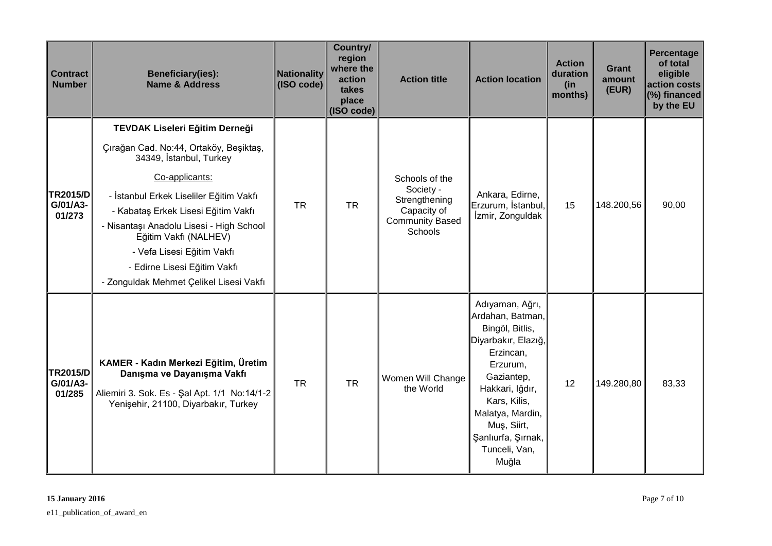| <b>Contract</b><br><b>Number</b>      | <b>Beneficiary(ies):</b><br><b>Name &amp; Address</b>                                                                                                                                                                                                                                                                                                                                 | Nationality<br>(ISO code) | Country/<br>region<br>where the<br>action<br>takes<br>place<br>$ $ (ISO code) | <b>Action title</b>                                                                              | <b>Action location</b>                                                                                                                                                                                                                     | <b>Action</b><br>duration<br>(in)<br>months) | Grant<br>amount<br>(EUR) | Percentage<br>of total<br>eligible<br>action costs<br>(%) financed<br>by the EU |
|---------------------------------------|---------------------------------------------------------------------------------------------------------------------------------------------------------------------------------------------------------------------------------------------------------------------------------------------------------------------------------------------------------------------------------------|---------------------------|-------------------------------------------------------------------------------|--------------------------------------------------------------------------------------------------|--------------------------------------------------------------------------------------------------------------------------------------------------------------------------------------------------------------------------------------------|----------------------------------------------|--------------------------|---------------------------------------------------------------------------------|
| <b>TR2015/D</b><br>G/01/A3-<br>01/273 | TEVDAK Liseleri Eğitim Derneği<br>Çırağan Cad. No:44, Ortaköy, Beşiktaş,<br>34349, İstanbul, Turkey<br>Co-applicants:<br>- İstanbul Erkek Liseliler Eğitim Vakfı<br>- Kabataş Erkek Lisesi Eğitim Vakfı<br>- Nisantaşı Anadolu Lisesi - High School<br>Eğitim Vakfı (NALHEV)<br>- Vefa Lisesi Eğitim Vakfı<br>- Edirne Lisesi Eğitim Vakfı<br>- Zonguldak Mehmet Çelikel Lisesi Vakfı | <b>TR</b>                 | <b>TR</b>                                                                     | Schools of the<br>Society -<br>Strengthening<br>Capacity of<br><b>Community Based</b><br>Schools | Ankara, Edirne,<br>Erzurum, İstanbul,<br>İzmir, Zonguldak                                                                                                                                                                                  | 15                                           | 148.200,56               | 90,00                                                                           |
| <b>TR2015/D</b><br>G/01/A3-<br>01/285 | KAMER - Kadın Merkezi Eğitim, Üretim<br>Danışma ve Dayanışma Vakfı<br>Aliemiri 3. Sok. Es - Şal Apt. 1/1 No:14/1-2<br>Yenişehir, 21100, Diyarbakır, Turkey                                                                                                                                                                                                                            | <b>TR</b>                 | <b>TR</b>                                                                     | Women Will Change<br>the World                                                                   | Adıyaman, Ağrı,<br>Ardahan, Batman,<br>Bingöl, Bitlis,<br>Diyarbakır, Elazığ,<br>Erzincan,<br>Erzurum,<br>Gaziantep,<br>Hakkari, Iğdır,<br>Kars, Kilis,<br>Malatya, Mardin,<br>Muş, Siirt,<br>Şanlıurfa, Şırnak,<br>Tunceli, Van,<br>Muğla | 12                                           | 149.280,80               | 83,33                                                                           |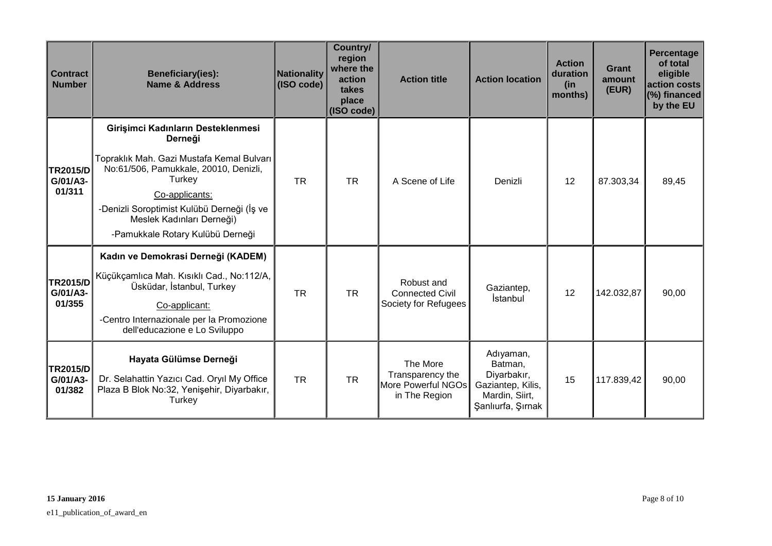| <b>Contract</b><br><b>Number</b>      | <b>Beneficiary(ies):</b><br><b>Name &amp; Address</b>                                                                                                                                                                                                                          | Nationality<br>(ISO code) | Country/<br>region<br>where the<br>action<br>takes<br>place<br>(ISO code) | <b>Action title</b>                                                 | <b>Action location</b>                                                                          | <b>Action</b><br>duration<br>(in<br>months) | <b>Grant</b><br>amount<br>(EUR) | Percentage<br>of total<br>eligible<br>action costs<br>(%) financed<br>by the EU |
|---------------------------------------|--------------------------------------------------------------------------------------------------------------------------------------------------------------------------------------------------------------------------------------------------------------------------------|---------------------------|---------------------------------------------------------------------------|---------------------------------------------------------------------|-------------------------------------------------------------------------------------------------|---------------------------------------------|---------------------------------|---------------------------------------------------------------------------------|
| TR2015/D<br>G/01/A3-<br>01/311        | Girişimci Kadınların Desteklenmesi<br>Derneği<br>Topraklık Mah. Gazi Mustafa Kemal Bulvarı<br>No:61/506, Pamukkale, 20010, Denizli,<br>Turkey<br>Co-applicants:<br>-Denizli Soroptimist Kulübü Derneği (İş ve<br>Meslek Kadınları Derneği)<br>-Pamukkale Rotary Kulübü Derneği | <b>TR</b>                 | <b>TR</b>                                                                 | A Scene of Life                                                     | Denizli                                                                                         | 12                                          | 87.303,34                       | 89,45                                                                           |
| <b>TR2015/D</b><br>G/01/A3-<br>01/355 | Kadın ve Demokrasi Derneği (KADEM)<br>Küçükçamlıca Mah. Kısıklı Cad., No:112/A,<br>Üsküdar, İstanbul, Turkey<br>Co-applicant:<br>-Centro Internazionale per la Promozione<br>dell'educazione e Lo Sviluppo                                                                     | <b>TR</b>                 | <b>TR</b>                                                                 | Robust and<br><b>Connected Civil</b><br>Society for Refugees        | Gaziantep,<br><b>İstanbul</b>                                                                   | 12                                          | 142.032,87                      | 90,00                                                                           |
| <b>TR2015/D</b><br>G/01/A3-<br>01/382 | Hayata Gülümse Derneği<br>Dr. Selahattin Yazıcı Cad. Oryıl My Office<br>Plaza B Blok No:32, Yenişehir, Diyarbakır,<br>Turkey                                                                                                                                                   | <b>TR</b>                 | <b>TR</b>                                                                 | The More<br>Transparency the<br>More Powerful NGOs<br>in The Region | Adıyaman,<br>Batman,<br>Diyarbakır,<br>Gaziantep, Kilis,<br>Mardin, Siirt,<br>Şanlıurfa, Şırnak | 15                                          | 117.839,42                      | 90,00                                                                           |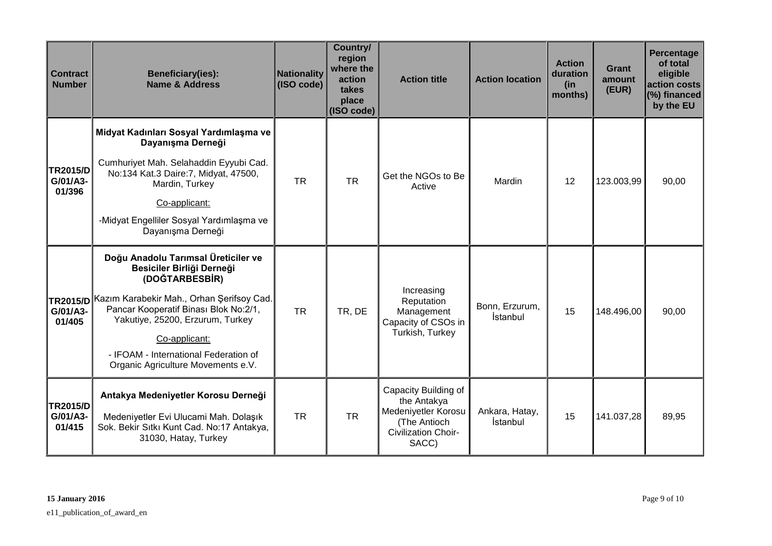| <b>Contract</b><br><b>Number</b>      | <b>Beneficiary(ies):</b><br><b>Name &amp; Address</b>                                                                                                                                                                                                                                                                 | Nationality<br>(ISO code) | Country/<br>region<br>where the<br>action<br>takes<br>place<br>(ISO code) | <b>Action title</b>                                                                                        | <b>Action location</b>     | <b>Action</b><br>duration<br>(in<br>months) | Grant<br>amount<br>(EUR) | Percentage<br>of total<br>eligible<br>action costs<br>(%) financed<br>by the EU |
|---------------------------------------|-----------------------------------------------------------------------------------------------------------------------------------------------------------------------------------------------------------------------------------------------------------------------------------------------------------------------|---------------------------|---------------------------------------------------------------------------|------------------------------------------------------------------------------------------------------------|----------------------------|---------------------------------------------|--------------------------|---------------------------------------------------------------------------------|
| <b>TR2015/D</b><br>G/01/A3-<br>01/396 | Midyat Kadınları Sosyal Yardımlaşma ve<br>Dayanışma Derneği<br>Cumhuriyet Mah. Selahaddin Eyyubi Cad.<br>No:134 Kat.3 Daire:7, Midyat, 47500,<br>Mardin, Turkey<br>Co-applicant:<br>-Midyat Engelliler Sosyal Yardımlaşma ve<br>Dayanışma Derneği                                                                     | <b>TR</b>                 | <b>TR</b>                                                                 | Get the NGOs to Be<br>Active                                                                               | Mardin                     | 12                                          | 123.003,99               | 90,00                                                                           |
| G/01/A3-<br>01/405                    | Doğu Anadolu Tarımsal Üreticiler ve<br>Besiciler Birliği Derneği<br>(DOĞTARBESBİR)<br>TR2015/D Kazım Karabekir Mah., Orhan Şerifsoy Cad.<br>Pancar Kooperatif Binası Blok No:2/1,<br>Yakutiye, 25200, Erzurum, Turkey<br>Co-applicant:<br>- IFOAM - International Federation of<br>Organic Agriculture Movements e.V. | <b>TR</b>                 | TR, DE                                                                    | Increasing<br>Reputation<br>Management<br>Capacity of CSOs in<br>Turkish, Turkey                           | Bonn, Erzurum,<br>İstanbul | 15                                          | 148.496,00               | 90,00                                                                           |
| <b>TR2015/D</b><br>G/01/A3-<br>01/415 | Antakya Medeniyetler Korosu Derneği<br>Medeniyetler Evi Ulucami Mah. Dolaşık<br>Sok. Bekir Sıtkı Kunt Cad. No:17 Antakya,<br>31030, Hatay, Turkey                                                                                                                                                                     | <b>TR</b>                 | <b>TR</b>                                                                 | Capacity Building of<br>the Antakya<br>Medeniyetler Korosu<br>(The Antioch<br>Civilization Choir-<br>SACC) | Ankara, Hatay,<br>İstanbul | 15                                          | 141.037,28               | 89,95                                                                           |